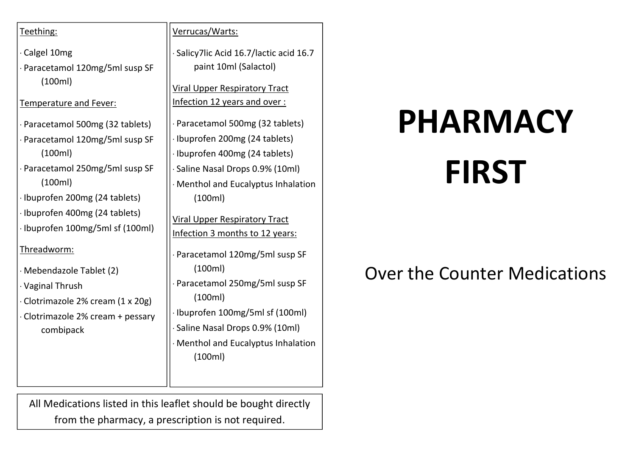#### Teething:

· Calgel 10mg · Paracetamol 120mg/5ml susp SF (100ml)

#### Temperature and Fever:

- · Paracetamol 500mg (32 tablets)
- · Paracetamol 120mg/5ml susp SF (100ml)
- · Paracetamol 250mg/5ml susp SF (100ml)
- · Ibuprofen 200mg (24 tablets)
- · Ibuprofen 400mg (24 tablets)
- · Ibuprofen 100mg/5ml sf (100ml)

#### Threadworm:

- · Mebendazole Tablet (2)
- · Vaginal Thrush
- · Clotrimazole 2% cream (1 x 20g)
- · Clotrimazole 2% cream + pessary combipack

#### Verrucas/Warts:

· Salicy7lic Acid 16.7/lactic acid 16.7 paint 10ml (Salactol)

Viral Upper Respiratory Tract Infection 12 years and over :

- Paracetamol 500mg (32 tablets)
- · Ibuprofen 200mg (24 tablets)
- · Ibuprofen 400mg (24 tablets)
- Saline Nasal Drops 0.9% (10ml)
- · Menthol and Eucalyptus Inhalation (100ml)

Viral Upper Respiratory Tract Infection 3 months to 12 years:

- Paracetamol 120mg/5ml susp SF (100ml)
- Paracetamol 250mg/5ml susp SF (100ml)
- · Ibuprofen 100mg/5ml sf (100ml) · Saline Nasal Drops 0.9% (10ml)
- · Menthol and Eucalyptus Inhalation (100ml)

All Medications listed in this leaflet should be bought directly from the pharmacy, a prescription is not required.

# **PHARMACY**

## **FIRST**

### Over the Counter Medications